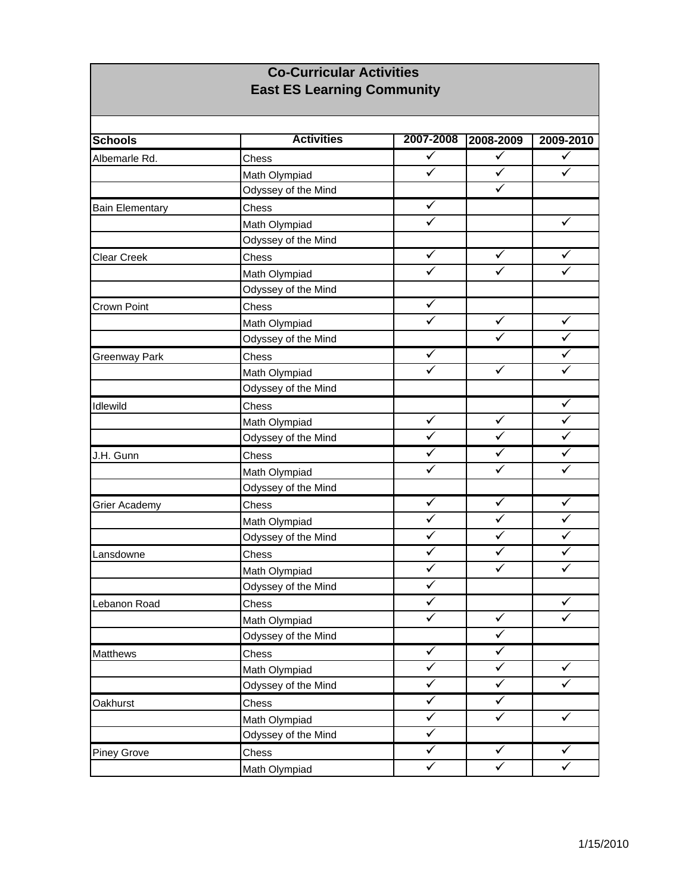## **Co-Curricular Activities East ES Learning Community**

| <b>Schools</b>         | <b>Activities</b>   | 2007-2008               | 2008-2009               | 2009-2010    |
|------------------------|---------------------|-------------------------|-------------------------|--------------|
| Albemarle Rd.          | Chess               | ✓                       | ✓                       | ✓            |
|                        | Math Olympiad       | $\checkmark$            | $\checkmark$            | ✓            |
|                        | Odyssey of the Mind |                         | $\checkmark$            |              |
| <b>Bain Elementary</b> | Chess               | $\checkmark$            |                         |              |
|                        | Math Olympiad       | ✓                       |                         | ✓            |
|                        | Odyssey of the Mind |                         |                         |              |
| Clear Creek            | Chess               | $\checkmark$            | ✓                       | ✓            |
|                        | Math Olympiad       | ✓                       | ✓                       | ✓            |
|                        | Odyssey of the Mind |                         |                         |              |
| Crown Point            | Chess               | ✓                       |                         |              |
|                        | Math Olympiad       | ✓                       | ✓                       | $\checkmark$ |
|                        | Odyssey of the Mind |                         | ✓                       | ✓            |
| Greenway Park          | Chess               | $\checkmark$            |                         | ✓            |
|                        | Math Olympiad       | $\overline{\checkmark}$ | $\checkmark$            | ✓            |
|                        | Odyssey of the Mind |                         |                         |              |
| Idlewild               | Chess               |                         |                         | ✓            |
|                        | Math Olympiad       | ✓                       | ✓                       | ✓            |
|                        | Odyssey of the Mind | $\checkmark$            | ✓                       | ✓            |
| J.H. Gunn              | Chess               | ✓                       | ✓                       | ✓            |
|                        | Math Olympiad       | $\checkmark$            | ✓                       | ✓            |
|                        | Odyssey of the Mind |                         |                         |              |
| Grier Academy          | Chess               | $\checkmark$            | ✓                       | $\checkmark$ |
|                        | Math Olympiad       | $\checkmark$            | ✓                       | $\checkmark$ |
|                        | Odyssey of the Mind | $\checkmark$            | ✓                       | ✓            |
| Lansdowne              | Chess               | $\checkmark$            | $\checkmark$            | ✓            |
|                        | Math Olympiad       | $\checkmark$            | ✓                       | ✓            |
|                        | Odyssey of the Mind | $\checkmark$            |                         |              |
| Lebanon Road           | Chess               | ✓                       |                         | ✓            |
|                        | Math Olympiad       | $\checkmark$            | $\checkmark$            | ✓            |
|                        | Odyssey of the Mind |                         | $\overline{\checkmark}$ |              |
| <b>Matthews</b>        | Chess               | $\checkmark$            | ✓                       |              |
|                        | Math Olympiad       | $\checkmark$            | $\checkmark$            | $\checkmark$ |
|                        | Odyssey of the Mind | $\checkmark$            | $\checkmark$            | $\checkmark$ |
| Oakhurst               | Chess               | $\checkmark$            | $\blacktriangledown$    |              |
|                        | Math Olympiad       | ✓                       | ✓                       | $\checkmark$ |
|                        | Odyssey of the Mind | $\checkmark$            |                         |              |
| Piney Grove            | Chess               | $\checkmark$            | ✓                       | $\checkmark$ |
|                        | Math Olympiad       | $\checkmark$            | $\checkmark$            | $\checkmark$ |